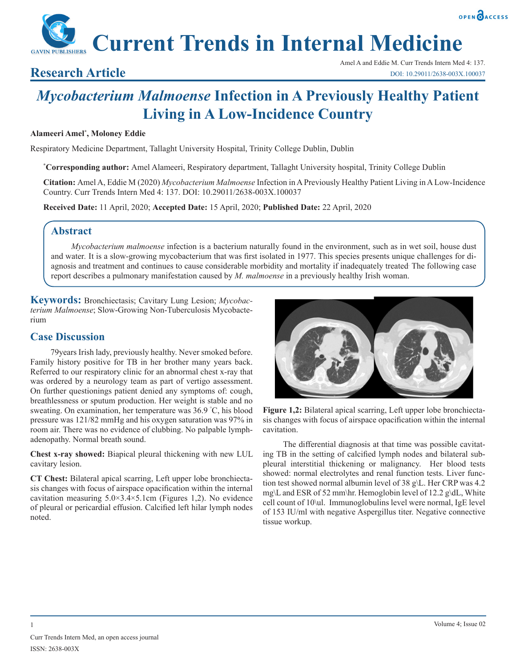## OPEN CACCESS

**Current Trends in Internal Medicine**

Amel A and Eddie M. Curr Trends Intern Med 4: 137. **Research Article** DOI: 10.29011/2638-003X.100037

# *Mycobacterium Malmoense* **Infection in A Previously Healthy Patient Living in A Low-Incidence Country**

#### **Alameeri Amel\* , Moloney Eddie**

Respiratory Medicine Department, Tallaght University Hospital, Trinity College Dublin, Dublin

**\* Corresponding author:** Amel Alameeri, Respiratory department, Tallaght University hospital, Trinity College Dublin

**Citation:** Amel A, Eddie M (2020) *Mycobacterium Malmoense* Infection in A Previously Healthy Patient Living in A Low-Incidence Country. Curr Trends Intern Med 4: 137. DOI: 10.29011/2638-003X.100037

**Received Date:** 11 April, 2020; **Accepted Date:** 15 April, 2020; **Published Date:** 22 April, 2020

#### **Abstract**

*Mycobacterium malmoense* infection is a bacterium naturally found in the environment, such as in wet soil, house dust and water. It is a slow-growing mycobacterium that was first isolated in 1977. This species presents unique challenges for diagnosis and treatment and continues to cause considerable morbidity and mortality if inadequately treated. The following case report describes a pulmonary manifestation caused by *M. malmoense* in a previously healthy Irish woman.

**Keywords:** Bronchiectasis; Cavitary Lung Lesion; *Mycobacterium Malmoense*; Slow-Growing Non-Tuberculosis Mycobacterium

#### **Case Discussion**

79years Irish lady, previously healthy. Never smoked before. Family history positive for TB in her brother many years back. Referred to our respiratory clinic for an abnormal chest x-ray that was ordered by a neurology team as part of vertigo assessment. On further questionings patient denied any symptoms of: cough, breathlessness or sputum production. Her weight is stable and no sweating. On examination, her temperature was 36.9 ° C, his blood pressure was 121/82 mmHg and his oxygen saturation was 97% in room air. There was no evidence of clubbing. No palpable lymphadenopathy. Normal breath sound.

**Chest x-ray showed:** Biapical pleural thickening with new LUL cavitary lesion.

**CT Chest:** Bilateral apical scarring, Left upper lobe bronchiectasis changes with focus of airspace opacification within the internal cavitation measuring  $5.0 \times 3.4 \times 5.1$  cm (Figures 1,2). No evidence of pleural or pericardial effusion. Calcified left hilar lymph nodes noted.



**Figure 1,2:** Bilateral apical scarring, Left upper lobe bronchiectasis changes with focus of airspace opacification within the internal cavitation.

The differential diagnosis at that time was possible cavitating TB in the setting of calcified lymph nodes and bilateral subpleural interstitial thickening or malignancy. Her blood tests showed: normal electrolytes and renal function tests. Liver function test showed normal albumin level of 38 g\L. Her CRP was 4.2 mg\L and ESR of 52 mm\hr. Hemoglobin level of 12.2 g\dL, White cell count of 10\ul. Immunoglobulins level were normal, IgE level of 153 IU/ml with negative Aspergillus titer. Negative connective tissue workup.